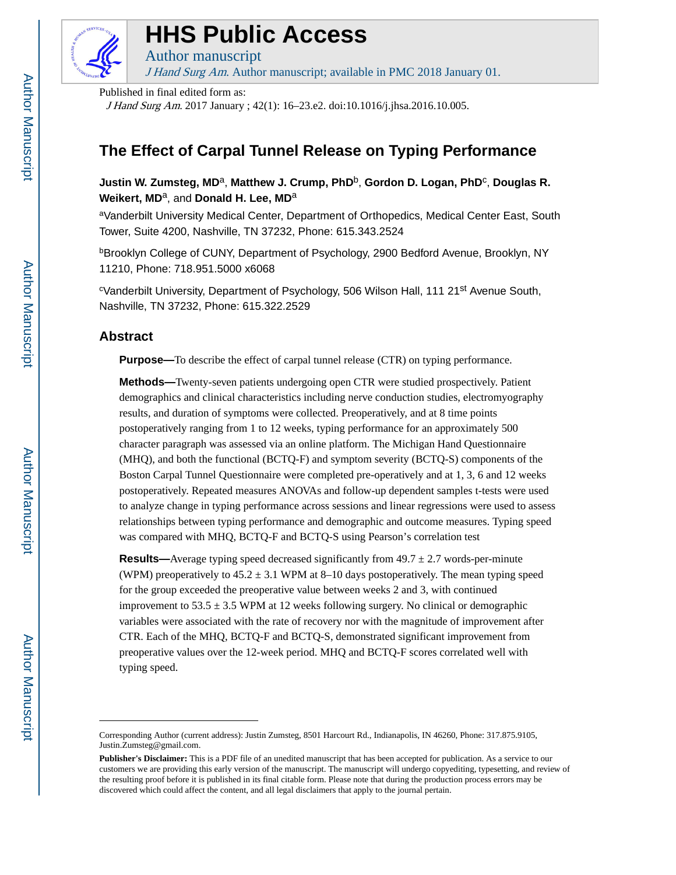

# **HHS Public Access**

Author manuscript

J Hand Surg Am. Author manuscript; available in PMC 2018 January 01.

Published in final edited form as:

J Hand Surg Am. 2017 January ; 42(1): 16–23.e2. doi:10.1016/j.jhsa.2016.10.005.

## **The Effect of Carpal Tunnel Release on Typing Performance**

**Justin W. Zumsteg, MD**a, **Matthew J. Crump, PhD**b, **Gordon D. Logan, PhD**<sup>c</sup> , **Douglas R. Weikert, MD**a, and **Donald H. Lee, MD**<sup>a</sup>

<sup>a</sup>Vanderbilt University Medical Center, Department of Orthopedics, Medical Center East, South Tower, Suite 4200, Nashville, TN 37232, Phone: 615.343.2524

bBrooklyn College of CUNY, Department of Psychology, 2900 Bedford Avenue, Brooklyn, NY 11210, Phone: 718.951.5000 x6068

<sup>c</sup>Vanderbilt University, Department of Psychology, 506 Wilson Hall, 111 21<sup>st</sup> Avenue South, Nashville, TN 37232, Phone: 615.322.2529

## **Abstract**

**Purpose—**To describe the effect of carpal tunnel release (CTR) on typing performance.

**Methods—**Twenty-seven patients undergoing open CTR were studied prospectively. Patient demographics and clinical characteristics including nerve conduction studies, electromyography results, and duration of symptoms were collected. Preoperatively, and at 8 time points postoperatively ranging from 1 to 12 weeks, typing performance for an approximately 500 character paragraph was assessed via an online platform. The Michigan Hand Questionnaire (MHQ), and both the functional (BCTQ-F) and symptom severity (BCTQ-S) components of the Boston Carpal Tunnel Questionnaire were completed pre-operatively and at 1, 3, 6 and 12 weeks postoperatively. Repeated measures ANOVAs and follow-up dependent samples t-tests were used to analyze change in typing performance across sessions and linear regressions were used to assess relationships between typing performance and demographic and outcome measures. Typing speed was compared with MHQ, BCTQ-F and BCTQ-S using Pearson's correlation test

**Results—**Average typing speed decreased significantly from  $49.7 \pm 2.7$  words-per-minute (WPM) preoperatively to  $45.2 \pm 3.1$  WPM at 8–10 days postoperatively. The mean typing speed for the group exceeded the preoperative value between weeks 2 and 3, with continued improvement to  $53.5 \pm 3.5$  WPM at 12 weeks following surgery. No clinical or demographic variables were associated with the rate of recovery nor with the magnitude of improvement after CTR. Each of the MHQ, BCTQ-F and BCTQ-S, demonstrated significant improvement from preoperative values over the 12-week period. MHQ and BCTQ-F scores correlated well with typing speed.

Corresponding Author (current address): Justin Zumsteg, 8501 Harcourt Rd., Indianapolis, IN 46260, Phone: 317.875.9105, Justin.Zumsteg@gmail.com.

**Publisher's Disclaimer:** This is a PDF file of an unedited manuscript that has been accepted for publication. As a service to our customers we are providing this early version of the manuscript. The manuscript will undergo copyediting, typesetting, and review of the resulting proof before it is published in its final citable form. Please note that during the production process errors may be discovered which could affect the content, and all legal disclaimers that apply to the journal pertain.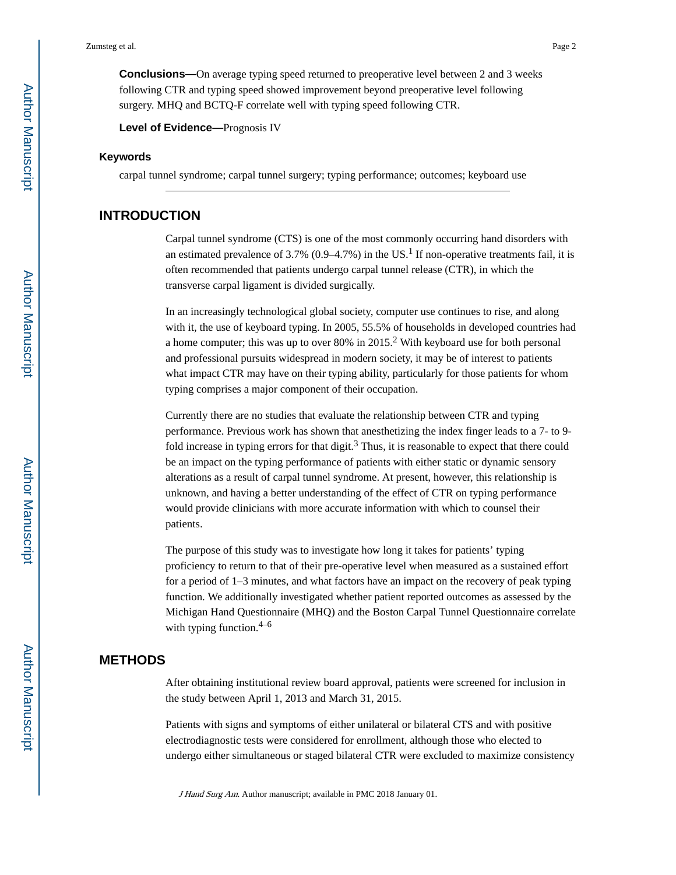**Conclusions—**On average typing speed returned to preoperative level between 2 and 3 weeks following CTR and typing speed showed improvement beyond preoperative level following surgery. MHQ and BCTQ-F correlate well with typing speed following CTR.

**Level of Evidence—**Prognosis IV

#### **Keywords**

carpal tunnel syndrome; carpal tunnel surgery; typing performance; outcomes; keyboard use

## **INTRODUCTION**

Carpal tunnel syndrome (CTS) is one of the most commonly occurring hand disorders with an estimated prevalence of 3.7% (0.9–4.7%) in the US.<sup>1</sup> If non-operative treatments fail, it is often recommended that patients undergo carpal tunnel release (CTR), in which the transverse carpal ligament is divided surgically.

In an increasingly technological global society, computer use continues to rise, and along with it, the use of keyboard typing. In 2005, 55.5% of households in developed countries had a home computer; this was up to over  $80\%$  in  $2015.<sup>2</sup>$  With keyboard use for both personal and professional pursuits widespread in modern society, it may be of interest to patients what impact CTR may have on their typing ability, particularly for those patients for whom typing comprises a major component of their occupation.

Currently there are no studies that evaluate the relationship between CTR and typing performance. Previous work has shown that anesthetizing the index finger leads to a 7- to 9 fold increase in typing errors for that digit.<sup>3</sup> Thus, it is reasonable to expect that there could be an impact on the typing performance of patients with either static or dynamic sensory alterations as a result of carpal tunnel syndrome. At present, however, this relationship is unknown, and having a better understanding of the effect of CTR on typing performance would provide clinicians with more accurate information with which to counsel their patients.

The purpose of this study was to investigate how long it takes for patients' typing proficiency to return to that of their pre-operative level when measured as a sustained effort for a period of 1–3 minutes, and what factors have an impact on the recovery of peak typing function. We additionally investigated whether patient reported outcomes as assessed by the Michigan Hand Questionnaire (MHQ) and the Boston Carpal Tunnel Questionnaire correlate with typing function. $4-6$ 

## **METHODS**

After obtaining institutional review board approval, patients were screened for inclusion in the study between April 1, 2013 and March 31, 2015.

Patients with signs and symptoms of either unilateral or bilateral CTS and with positive electrodiagnostic tests were considered for enrollment, although those who elected to undergo either simultaneous or staged bilateral CTR were excluded to maximize consistency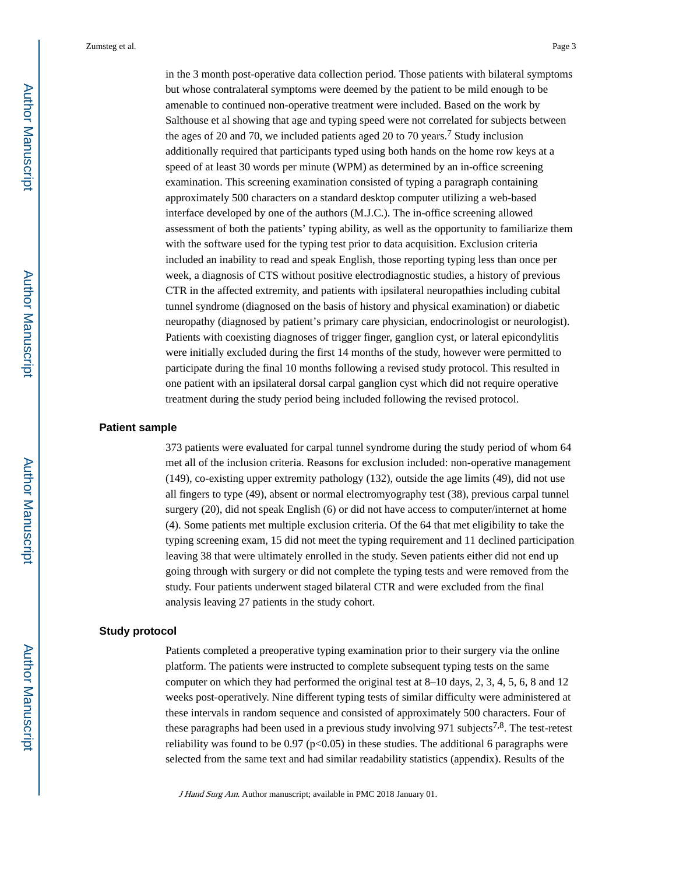in the 3 month post-operative data collection period. Those patients with bilateral symptoms but whose contralateral symptoms were deemed by the patient to be mild enough to be amenable to continued non-operative treatment were included. Based on the work by Salthouse et al showing that age and typing speed were not correlated for subjects between the ages of 20 and 70, we included patients aged 20 to 70 years.<sup>7</sup> Study inclusion additionally required that participants typed using both hands on the home row keys at a speed of at least 30 words per minute (WPM) as determined by an in-office screening examination. This screening examination consisted of typing a paragraph containing approximately 500 characters on a standard desktop computer utilizing a web-based interface developed by one of the authors (M.J.C.). The in-office screening allowed assessment of both the patients' typing ability, as well as the opportunity to familiarize them with the software used for the typing test prior to data acquisition. Exclusion criteria included an inability to read and speak English, those reporting typing less than once per week, a diagnosis of CTS without positive electrodiagnostic studies, a history of previous CTR in the affected extremity, and patients with ipsilateral neuropathies including cubital tunnel syndrome (diagnosed on the basis of history and physical examination) or diabetic neuropathy (diagnosed by patient's primary care physician, endocrinologist or neurologist). Patients with coexisting diagnoses of trigger finger, ganglion cyst, or lateral epicondylitis were initially excluded during the first 14 months of the study, however were permitted to participate during the final 10 months following a revised study protocol. This resulted in one patient with an ipsilateral dorsal carpal ganglion cyst which did not require operative treatment during the study period being included following the revised protocol.

#### **Patient sample**

373 patients were evaluated for carpal tunnel syndrome during the study period of whom 64 met all of the inclusion criteria. Reasons for exclusion included: non-operative management (149), co-existing upper extremity pathology (132), outside the age limits (49), did not use all fingers to type (49), absent or normal electromyography test (38), previous carpal tunnel surgery (20), did not speak English (6) or did not have access to computer/internet at home (4). Some patients met multiple exclusion criteria. Of the 64 that met eligibility to take the typing screening exam, 15 did not meet the typing requirement and 11 declined participation leaving 38 that were ultimately enrolled in the study. Seven patients either did not end up going through with surgery or did not complete the typing tests and were removed from the study. Four patients underwent staged bilateral CTR and were excluded from the final analysis leaving 27 patients in the study cohort.

#### **Study protocol**

Patients completed a preoperative typing examination prior to their surgery via the online platform. The patients were instructed to complete subsequent typing tests on the same computer on which they had performed the original test at 8–10 days, 2, 3, 4, 5, 6, 8 and 12 weeks post-operatively. Nine different typing tests of similar difficulty were administered at these intervals in random sequence and consisted of approximately 500 characters. Four of these paragraphs had been used in a previous study involving 971 subjects<sup>7,8</sup>. The test-retest reliability was found to be 0.97 ( $p<0.05$ ) in these studies. The additional 6 paragraphs were selected from the same text and had similar readability statistics (appendix). Results of the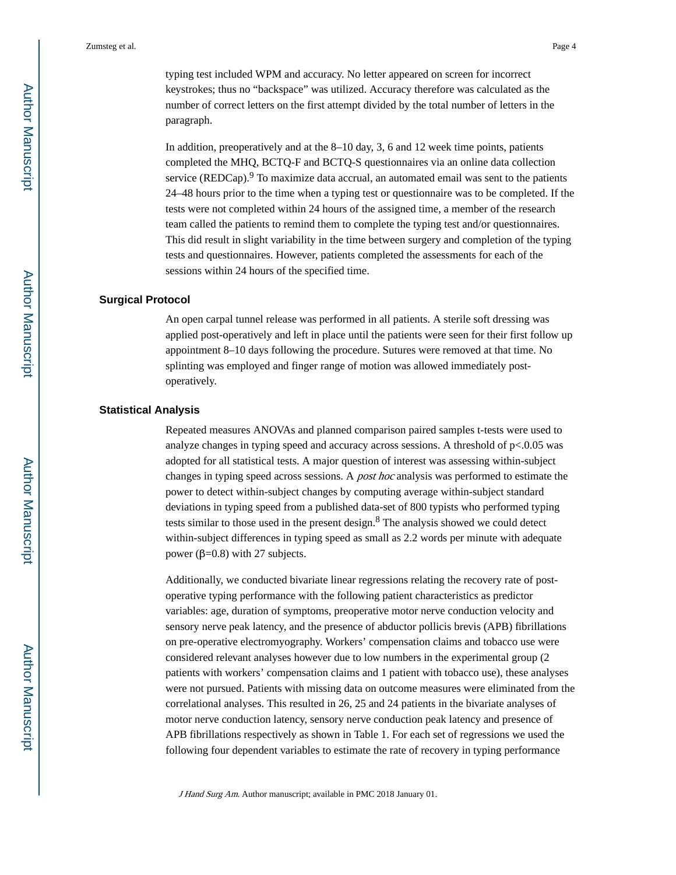typing test included WPM and accuracy. No letter appeared on screen for incorrect keystrokes; thus no "backspace" was utilized. Accuracy therefore was calculated as the number of correct letters on the first attempt divided by the total number of letters in the paragraph.

In addition, preoperatively and at the 8–10 day, 3, 6 and 12 week time points, patients completed the MHQ, BCTQ-F and BCTQ-S questionnaires via an online data collection service (REDCap). $9$  To maximize data accrual, an automated email was sent to the patients 24–48 hours prior to the time when a typing test or questionnaire was to be completed. If the tests were not completed within 24 hours of the assigned time, a member of the research team called the patients to remind them to complete the typing test and/or questionnaires. This did result in slight variability in the time between surgery and completion of the typing tests and questionnaires. However, patients completed the assessments for each of the sessions within 24 hours of the specified time.

#### **Surgical Protocol**

An open carpal tunnel release was performed in all patients. A sterile soft dressing was applied post-operatively and left in place until the patients were seen for their first follow up appointment 8–10 days following the procedure. Sutures were removed at that time. No splinting was employed and finger range of motion was allowed immediately postoperatively.

#### **Statistical Analysis**

Repeated measures ANOVAs and planned comparison paired samples t-tests were used to analyze changes in typing speed and accuracy across sessions. A threshold of  $p<0.05$  was adopted for all statistical tests. A major question of interest was assessing within-subject changes in typing speed across sessions. A post hoc analysis was performed to estimate the power to detect within-subject changes by computing average within-subject standard deviations in typing speed from a published data-set of 800 typists who performed typing tests similar to those used in the present design.<sup>8</sup> The analysis showed we could detect within-subject differences in typing speed as small as 2.2 words per minute with adequate power ( $β=0.8$ ) with 27 subjects.

Additionally, we conducted bivariate linear regressions relating the recovery rate of postoperative typing performance with the following patient characteristics as predictor variables: age, duration of symptoms, preoperative motor nerve conduction velocity and sensory nerve peak latency, and the presence of abductor pollicis brevis (APB) fibrillations on pre-operative electromyography. Workers' compensation claims and tobacco use were considered relevant analyses however due to low numbers in the experimental group (2 patients with workers' compensation claims and 1 patient with tobacco use), these analyses were not pursued. Patients with missing data on outcome measures were eliminated from the correlational analyses. This resulted in 26, 25 and 24 patients in the bivariate analyses of motor nerve conduction latency, sensory nerve conduction peak latency and presence of APB fibrillations respectively as shown in Table 1. For each set of regressions we used the following four dependent variables to estimate the rate of recovery in typing performance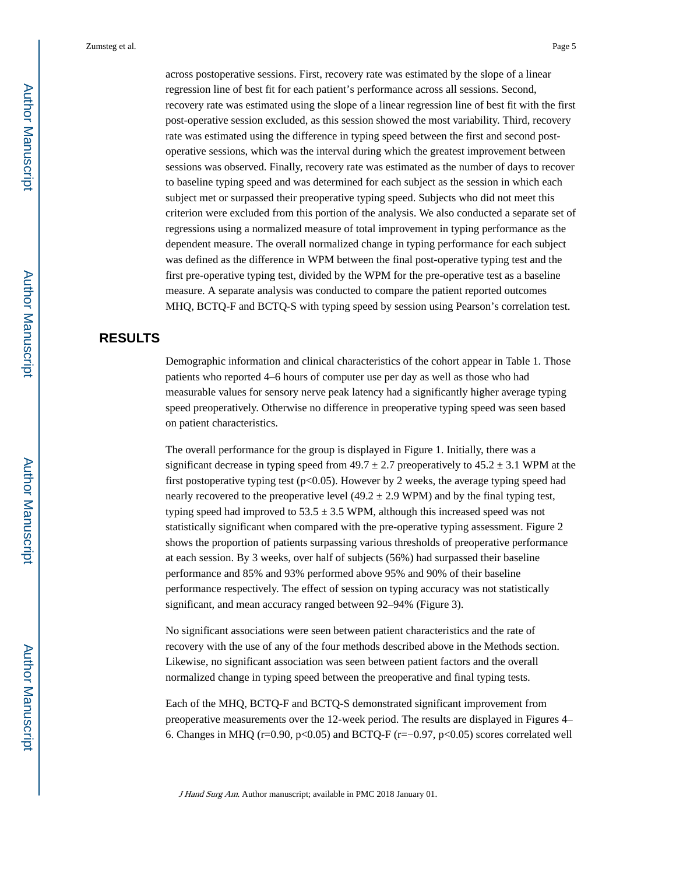across postoperative sessions. First, recovery rate was estimated by the slope of a linear regression line of best fit for each patient's performance across all sessions. Second, recovery rate was estimated using the slope of a linear regression line of best fit with the first post-operative session excluded, as this session showed the most variability. Third, recovery rate was estimated using the difference in typing speed between the first and second postoperative sessions, which was the interval during which the greatest improvement between sessions was observed. Finally, recovery rate was estimated as the number of days to recover to baseline typing speed and was determined for each subject as the session in which each subject met or surpassed their preoperative typing speed. Subjects who did not meet this criterion were excluded from this portion of the analysis. We also conducted a separate set of regressions using a normalized measure of total improvement in typing performance as the dependent measure. The overall normalized change in typing performance for each subject was defined as the difference in WPM between the final post-operative typing test and the first pre-operative typing test, divided by the WPM for the pre-operative test as a baseline measure. A separate analysis was conducted to compare the patient reported outcomes MHQ, BCTQ-F and BCTQ-S with typing speed by session using Pearson's correlation test.

## **RESULTS**

Demographic information and clinical characteristics of the cohort appear in Table 1. Those patients who reported 4–6 hours of computer use per day as well as those who had measurable values for sensory nerve peak latency had a significantly higher average typing speed preoperatively. Otherwise no difference in preoperative typing speed was seen based on patient characteristics.

The overall performance for the group is displayed in Figure 1. Initially, there was a significant decrease in typing speed from  $49.7 \pm 2.7$  preoperatively to  $45.2 \pm 3.1$  WPM at the first postoperative typing test ( $p<0.05$ ). However by 2 weeks, the average typing speed had nearly recovered to the preoperative level  $(49.2 \pm 2.9 \text{ WPM})$  and by the final typing test, typing speed had improved to  $53.5 \pm 3.5$  WPM, although this increased speed was not statistically significant when compared with the pre-operative typing assessment. Figure 2 shows the proportion of patients surpassing various thresholds of preoperative performance at each session. By 3 weeks, over half of subjects (56%) had surpassed their baseline performance and 85% and 93% performed above 95% and 90% of their baseline performance respectively. The effect of session on typing accuracy was not statistically significant, and mean accuracy ranged between 92–94% (Figure 3).

No significant associations were seen between patient characteristics and the rate of recovery with the use of any of the four methods described above in the Methods section. Likewise, no significant association was seen between patient factors and the overall normalized change in typing speed between the preoperative and final typing tests.

Each of the MHQ, BCTQ-F and BCTQ-S demonstrated significant improvement from preoperative measurements over the 12-week period. The results are displayed in Figures 4– 6. Changes in MHQ (r=0.90, p<0.05) and BCTQ-F (r= $-0.97$ , p<0.05) scores correlated well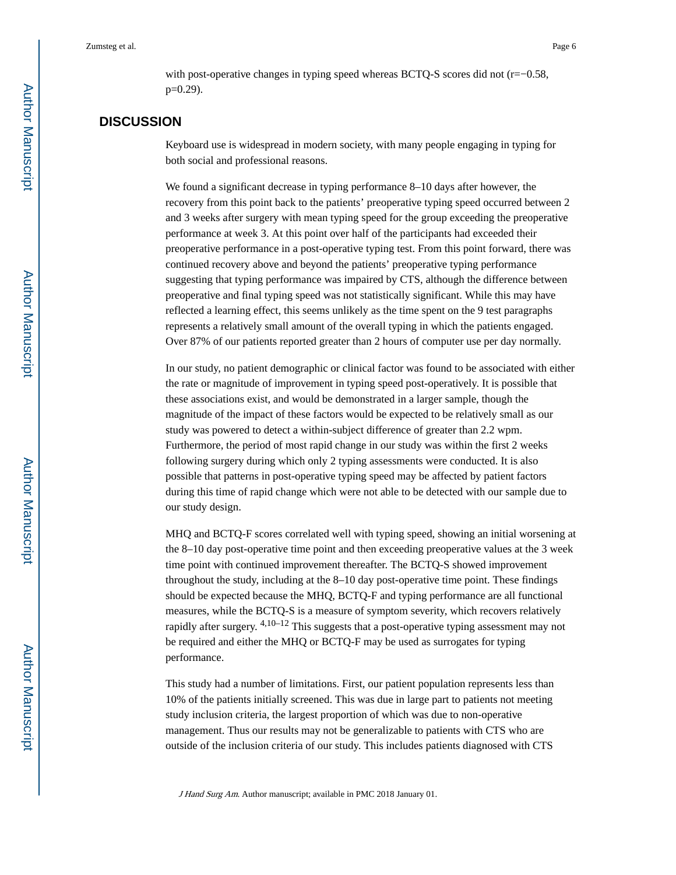with post-operative changes in typing speed whereas BCTQ-S scores did not (r=−0.58, p=0.29).

## **DISCUSSION**

Keyboard use is widespread in modern society, with many people engaging in typing for both social and professional reasons.

We found a significant decrease in typing performance 8–10 days after however, the recovery from this point back to the patients' preoperative typing speed occurred between 2 and 3 weeks after surgery with mean typing speed for the group exceeding the preoperative performance at week 3. At this point over half of the participants had exceeded their preoperative performance in a post-operative typing test. From this point forward, there was continued recovery above and beyond the patients' preoperative typing performance suggesting that typing performance was impaired by CTS, although the difference between preoperative and final typing speed was not statistically significant. While this may have reflected a learning effect, this seems unlikely as the time spent on the 9 test paragraphs represents a relatively small amount of the overall typing in which the patients engaged. Over 87% of our patients reported greater than 2 hours of computer use per day normally.

In our study, no patient demographic or clinical factor was found to be associated with either the rate or magnitude of improvement in typing speed post-operatively. It is possible that these associations exist, and would be demonstrated in a larger sample, though the magnitude of the impact of these factors would be expected to be relatively small as our study was powered to detect a within-subject difference of greater than 2.2 wpm. Furthermore, the period of most rapid change in our study was within the first 2 weeks following surgery during which only 2 typing assessments were conducted. It is also possible that patterns in post-operative typing speed may be affected by patient factors during this time of rapid change which were not able to be detected with our sample due to our study design.

MHQ and BCTQ-F scores correlated well with typing speed, showing an initial worsening at the 8–10 day post-operative time point and then exceeding preoperative values at the 3 week time point with continued improvement thereafter. The BCTQ-S showed improvement throughout the study, including at the 8–10 day post-operative time point. These findings should be expected because the MHQ, BCTQ-F and typing performance are all functional measures, while the BCTQ-S is a measure of symptom severity, which recovers relatively rapidly after surgery.  $4,10-12$  This suggests that a post-operative typing assessment may not be required and either the MHQ or BCTQ-F may be used as surrogates for typing performance.

This study had a number of limitations. First, our patient population represents less than 10% of the patients initially screened. This was due in large part to patients not meeting study inclusion criteria, the largest proportion of which was due to non-operative management. Thus our results may not be generalizable to patients with CTS who are outside of the inclusion criteria of our study. This includes patients diagnosed with CTS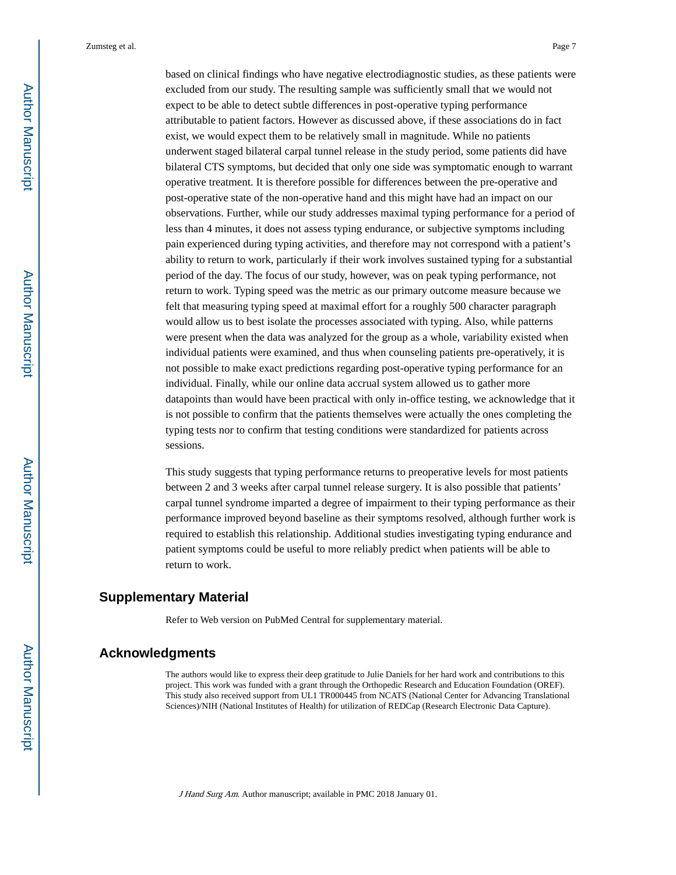based on clinical findings who have negative electrodiagnostic studies, as these patients were excluded from our study. The resulting sample was sufficiently small that we would not expect to be able to detect subtle differences in post-operative typing performance attributable to patient factors. However as discussed above, if these associations do in fact exist, we would expect them to be relatively small in magnitude. While no patients underwent staged bilateral carpal tunnel release in the study period, some patients did have bilateral CTS symptoms, but decided that only one side was symptomatic enough to warrant operative treatment. It is therefore possible for differences between the pre-operative and post-operative state of the non-operative hand and this might have had an impact on our observations. Further, while our study addresses maximal typing performance for a period of less than 4 minutes, it does not assess typing endurance, or subjective symptoms including pain experienced during typing activities, and therefore may not correspond with a patient's ability to return to work, particularly if their work involves sustained typing for a substantial period of the day. The focus of our study, however, was on peak typing performance, not return to work. Typing speed was the metric as our primary outcome measure because we felt that measuring typing speed at maximal effort for a roughly 500 character paragraph would allow us to best isolate the processes associated with typing. Also, while patterns were present when the data was analyzed for the group as a whole, variability existed when individual patients were examined, and thus when counseling patients pre-operatively, it is not possible to make exact predictions regarding post-operative typing performance for an individual. Finally, while our online data accrual system allowed us to gather more datapoints than would have been practical with only in-office testing, we acknowledge that it is not possible to confirm that the patients themselves were actually the ones completing the typing tests nor to confirm that testing conditions were standardized for patients across sessions.

This study suggests that typing performance returns to preoperative levels for most patients between 2 and 3 weeks after carpal tunnel release surgery. It is also possible that patients' carpal tunnel syndrome imparted a degree of impairment to their typing performance as their performance improved beyond baseline as their symptoms resolved, although further work is required to establish this relationship. Additional studies investigating typing endurance and patient symptoms could be useful to more reliably predict when patients will be able to return to work.

## **Supplementary Material**

Refer to Web version on PubMed Central for supplementary material.

## **Acknowledgments**

The authors would like to express their deep gratitude to Julie Daniels for her hard work and contributions to this project. This work was funded with a grant through the Orthopedic Research and Education Foundation (OREF). This study also received support from UL1 TR000445 from NCATS (National Center for Advancing Translational Sciences)/NIH (National Institutes of Health) for utilization of REDCap (Research Electronic Data Capture).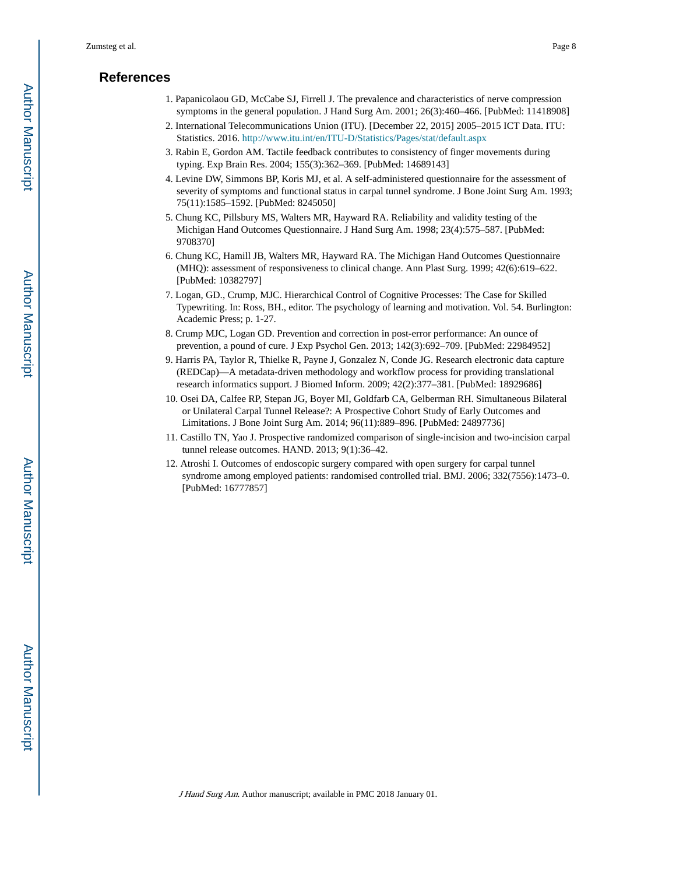## **References**

- 1. Papanicolaou GD, McCabe SJ, Firrell J. The prevalence and characteristics of nerve compression symptoms in the general population. J Hand Surg Am. 2001; 26(3):460–466. [PubMed: 11418908]
- 2. International Telecommunications Union (ITU). [December 22, 2015] 2005–2015 ICT Data. ITU: Statistics. 2016. <http://www.itu.int/en/ITU-D/Statistics/Pages/stat/default.aspx>
- 3. Rabin E, Gordon AM. Tactile feedback contributes to consistency of finger movements during typing. Exp Brain Res. 2004; 155(3):362–369. [PubMed: 14689143]
- 4. Levine DW, Simmons BP, Koris MJ, et al. A self-administered questionnaire for the assessment of severity of symptoms and functional status in carpal tunnel syndrome. J Bone Joint Surg Am. 1993; 75(11):1585–1592. [PubMed: 8245050]
- 5. Chung KC, Pillsbury MS, Walters MR, Hayward RA. Reliability and validity testing of the Michigan Hand Outcomes Questionnaire. J Hand Surg Am. 1998; 23(4):575–587. [PubMed: 9708370]
- 6. Chung KC, Hamill JB, Walters MR, Hayward RA. The Michigan Hand Outcomes Questionnaire (MHQ): assessment of responsiveness to clinical change. Ann Plast Surg. 1999; 42(6):619–622. [PubMed: 10382797]
- 7. Logan, GD., Crump, MJC. Hierarchical Control of Cognitive Processes: The Case for Skilled Typewriting. In: Ross, BH., editor. The psychology of learning and motivation. Vol. 54. Burlington: Academic Press; p. 1-27.
- 8. Crump MJC, Logan GD. Prevention and correction in post-error performance: An ounce of prevention, a pound of cure. J Exp Psychol Gen. 2013; 142(3):692–709. [PubMed: 22984952]
- 9. Harris PA, Taylor R, Thielke R, Payne J, Gonzalez N, Conde JG. Research electronic data capture (REDCap)—A metadata-driven methodology and workflow process for providing translational research informatics support. J Biomed Inform. 2009; 42(2):377–381. [PubMed: 18929686]
- 10. Osei DA, Calfee RP, Stepan JG, Boyer MI, Goldfarb CA, Gelberman RH. Simultaneous Bilateral or Unilateral Carpal Tunnel Release?: A Prospective Cohort Study of Early Outcomes and Limitations. J Bone Joint Surg Am. 2014; 96(11):889–896. [PubMed: 24897736]
- 11. Castillo TN, Yao J. Prospective randomized comparison of single-incision and two-incision carpal tunnel release outcomes. HAND. 2013; 9(1):36–42.
- 12. Atroshi I. Outcomes of endoscopic surgery compared with open surgery for carpal tunnel syndrome among employed patients: randomised controlled trial. BMJ. 2006; 332(7556):1473–0. [PubMed: 16777857]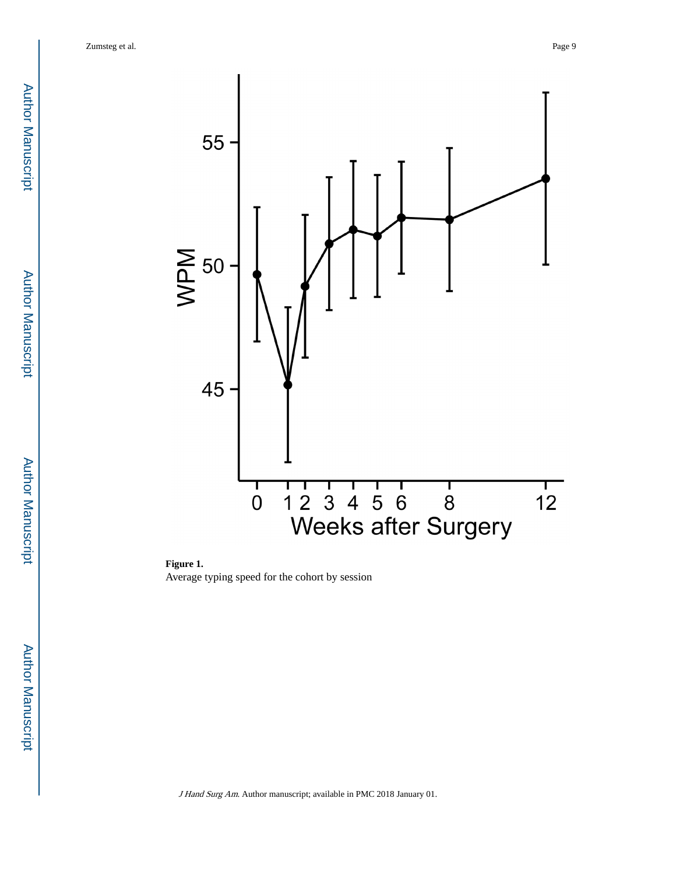

**Figure 1.**  Average typing speed for the cohort by session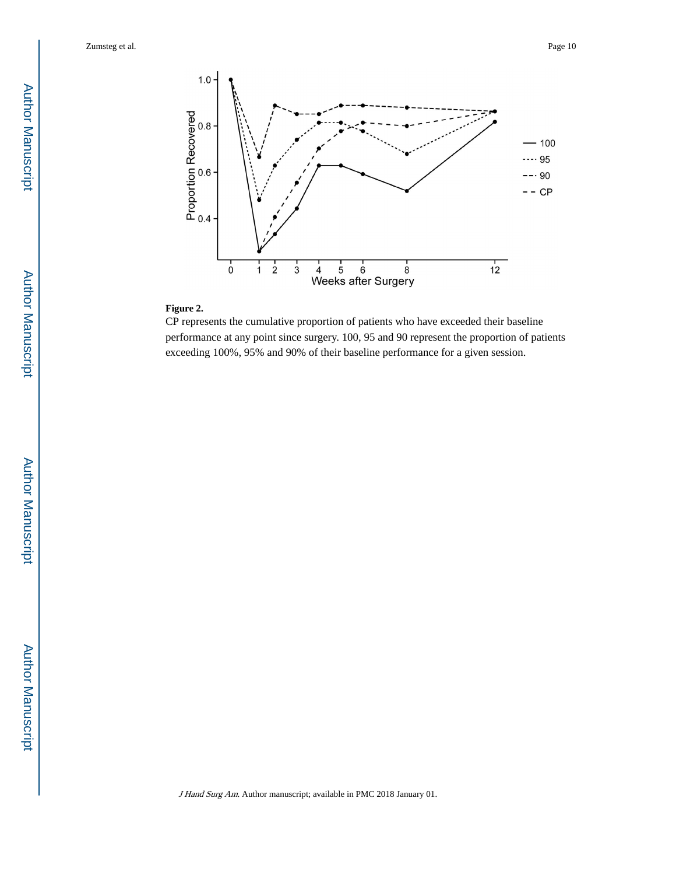

#### **Figure 2.**

CP represents the cumulative proportion of patients who have exceeded their baseline performance at any point since surgery. 100, 95 and 90 represent the proportion of patients exceeding 100%, 95% and 90% of their baseline performance for a given session.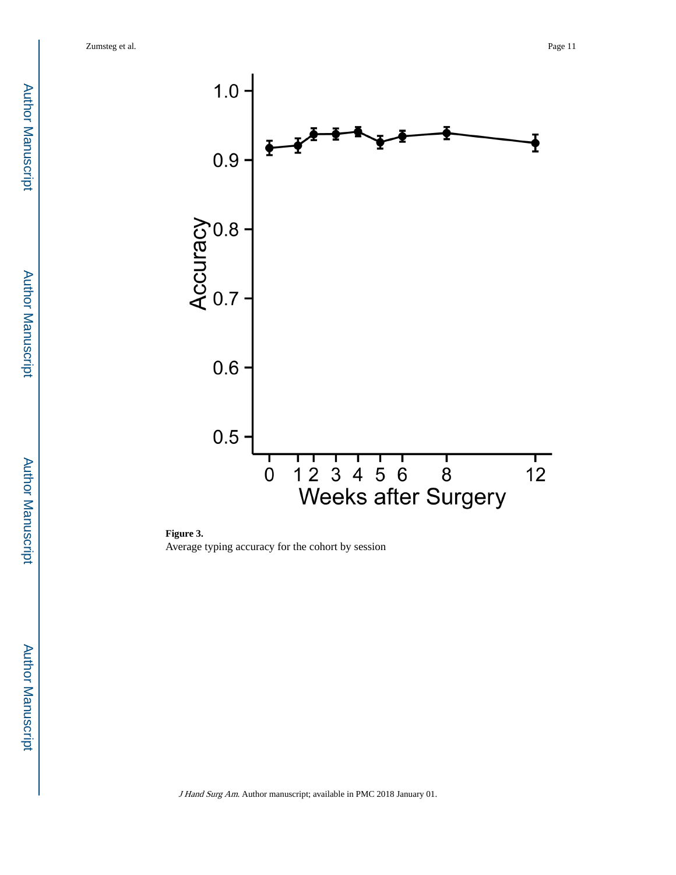

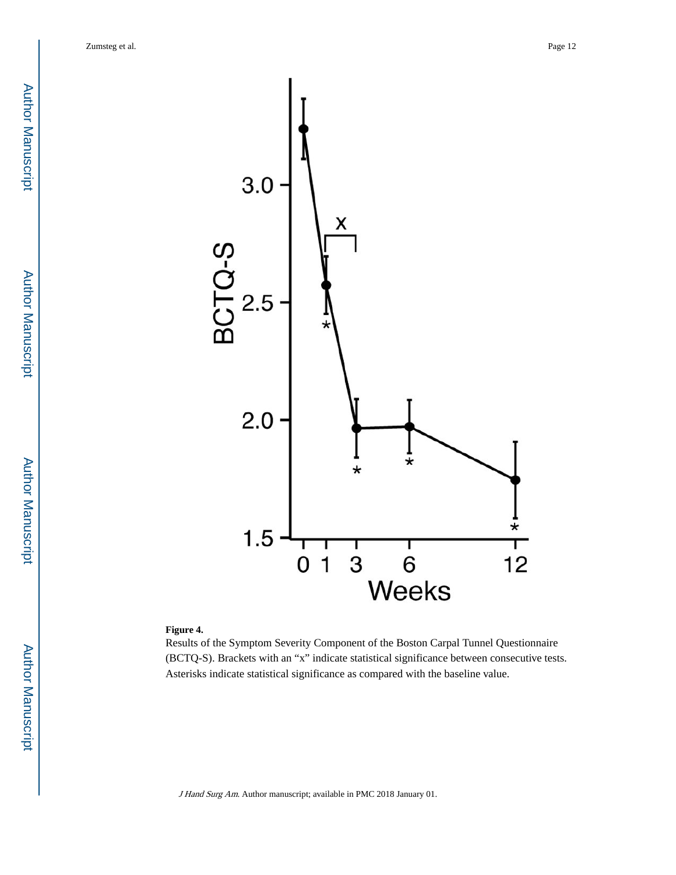Author ManuscriptAuthor Manuscript



#### **Figure 4.**

Results of the Symptom Severity Component of the Boston Carpal Tunnel Questionnaire (BCTQ-S). Brackets with an "x" indicate statistical significance between consecutive tests. Asterisks indicate statistical significance as compared with the baseline value.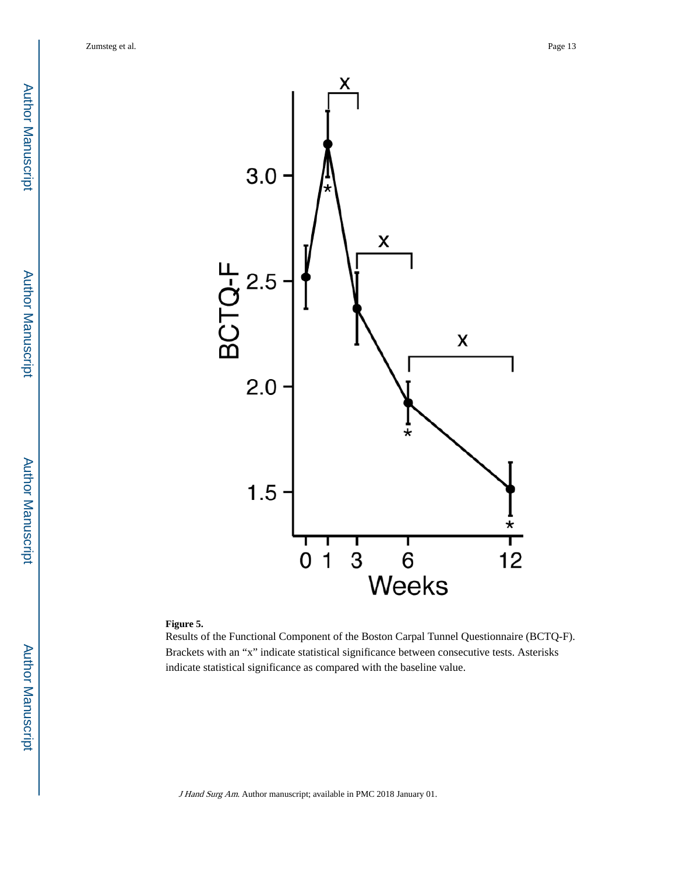Author ManuscriptAuthor Manuscript



#### **Figure 5.**

Results of the Functional Component of the Boston Carpal Tunnel Questionnaire (BCTQ-F). Brackets with an "x" indicate statistical significance between consecutive tests. Asterisks indicate statistical significance as compared with the baseline value.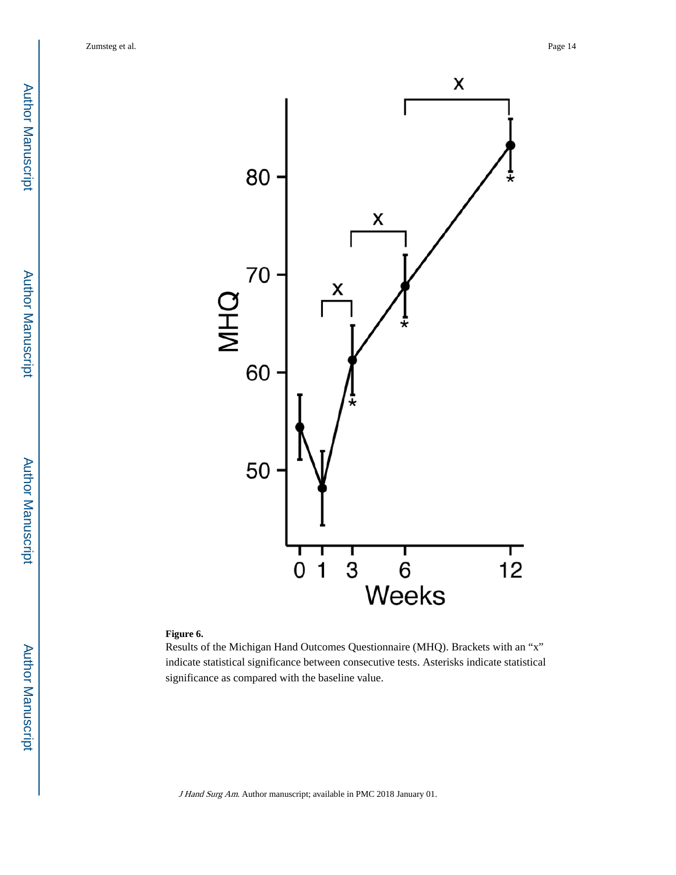

#### **Figure 6.**

Results of the Michigan Hand Outcomes Questionnaire (MHQ). Brackets with an "x" indicate statistical significance between consecutive tests. Asterisks indicate statistical significance as compared with the baseline value.